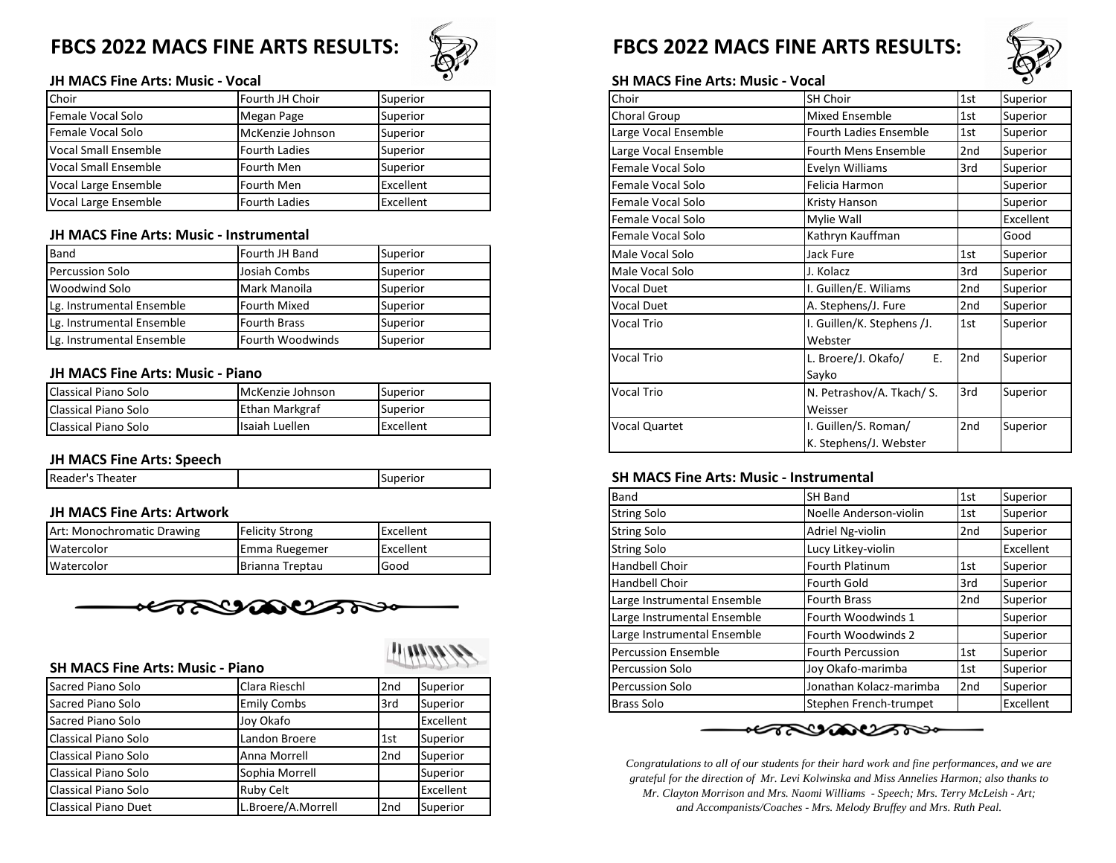

### **JH MACS Fine Arts: Music - Vocal SH MACS Fine Arts: Music - Vocal**

| Choir                       | Fourth JH Choir      | Superior  |
|-----------------------------|----------------------|-----------|
| Female Vocal Solo           | Megan Page           | Superior  |
| Female Vocal Solo           | McKenzie Johnson     | Superior  |
| <b>Vocal Small Ensemble</b> | <b>Fourth Ladies</b> | Superior  |
| <b>Vocal Small Ensemble</b> | Fourth Men           | Superior  |
| Vocal Large Ensemble        | Fourth Men           | Excellent |
| <b>Vocal Large Ensemble</b> | <b>Fourth Ladies</b> | Excellent |

### **JH MACS Fine Arts: Music - Instrumental**

| Band                      | Fourth JH Band          | Superior |
|---------------------------|-------------------------|----------|
| Percussion Solo           | Josiah Combs            | Superior |
| <b>Woodwind Solo</b>      | Mark Manoila            | Superior |
| Lg. Instrumental Ensemble | <b>Fourth Mixed</b>     | Superior |
| Lg. Instrumental Ensemble | <b>Fourth Brass</b>     | Superior |
| Lg. Instrumental Ensemble | <b>Fourth Woodwinds</b> | Superior |

### **JH MACS Fine Arts: Music - Piano**

| <b>I</b> Classical Piano Solo | McKenzie Johnson | Superior  |
|-------------------------------|------------------|-----------|
| <b>I</b> Classical Piano Solo | Ethan Markgraf   | Superior  |
| <b>I</b> Classical Piano Solo | Isaiah Luellen   | Excellent |

### **JH MACS Fine Arts: Speech**

| IRe:<br>eater<br>. | ~~<br>10<br>⊶י |
|--------------------|----------------|
|                    |                |

### **JH MACS Fine Arts: Artwork**

| Art: Monochromatic Drawing | Felicity Strong | Excellent |
|----------------------------|-----------------|-----------|
| <b>Watercolor</b>          | Emma Ruegemer   | Excellent |
| <b>Watercolor</b>          | Brianna Treptau | Good      |



|  | 7999991 |
|--|---------|
|--|---------|

| 30 IVIACS FIIIE AI IS. IVIUSIC - FIAIIU |                    |                 |           |
|-----------------------------------------|--------------------|-----------------|-----------|
| Sacred Piano Solo                       | Clara Rieschl      | 2 <sub>nd</sub> | Superior  |
| Sacred Piano Solo                       | <b>Emily Combs</b> | 3rd             | Superior  |
| Sacred Piano Solo                       | Joy Okafo          |                 | Excellent |
| Classical Piano Solo                    | Landon Broere      | 1st             | Superior  |
| Classical Piano Solo                    | Anna Morrell       | 2 <sub>nd</sub> | Superior  |
| Classical Piano Solo                    | Sophia Morrell     |                 | Superior  |
| Classical Piano Solo                    | <b>Ruby Celt</b>   |                 | Excellent |
| <b>Classical Piano Duet</b>             | L.Broere/A.Morrell | 2 <sub>nd</sub> | Superior  |

## FBCS 2022 MACS FINE ARTS RESULTS: **FBCS 2022 MACS FINE ARTS RESULTS:**



| Choir                                   | Fourth JH Choir      | Superior  |
|-----------------------------------------|----------------------|-----------|
| Female Vocal Solo                       | Megan Page           | Superior  |
| Female Vocal Solo                       | McKenzie Johnson     | Superior  |
| Vocal Small Ensemble                    | Fourth Ladies        | Superior  |
| Vocal Small Ensemble                    | Fourth Men           | Superior  |
| Vocal Large Ensemble                    | Fourth Men           | Excellent |
| Vocal Large Ensemble                    | <b>Fourth Ladies</b> | Excellent |
|                                         |                      |           |
| JH MACS Fine Arts: Music - Instrumental |                      |           |
| Band                                    | Fourth JH Band       | Superior  |
| Percussion Solo                         | Josiah Combs         | Superior  |
| Woodwind Solo                           | Mark Manoila         | Superior  |
| Lg. Instrumental Ensemble               | Fourth Mixed         | Superior  |
| Lg. Instrumental Ensemble               | <b>Fourth Brass</b>  | Superior  |
| Lg. Instrumental Ensemble               | Fourth Woodwinds     | Superior  |
|                                         |                      |           |
| JH MACS Fine Arts: Music - Piano        |                      |           |
| Classical Piano Solo                    | McKenzie Johnson     | Superior  |
| Classical Piano Solo                    | Ethan Markgraf       | Superior  |
| Classical Piano Solo                    | Isaiah Luellen       | Excellent |
|                                         |                      |           |

### **SH MACS Fine Arts: Music - Instrumental**

|                                         |                        |           |          | Band                        | <b>SH Band</b>          | 1st             | Superior  |
|-----------------------------------------|------------------------|-----------|----------|-----------------------------|-------------------------|-----------------|-----------|
| JH MACS Fine Arts: Artwork              |                        |           |          | <b>String Solo</b>          | Noelle Anderson-violin  | 1st             | Superior  |
| Art: Monochromatic Drawing              | <b>Felicity Strong</b> | Excellent |          | <b>String Solo</b>          | Adriel Ng-violin        | 2nd             | Superior  |
| Watercolor                              | Emma Ruegemer          | Excellent |          | <b>String Solo</b>          | Lucy Litkey-violin      |                 | Excellent |
| Watercolor                              | Brianna Treptau        | Good      |          | Handbell Choir              | <b>Fourth Platinum</b>  | 1st             | Superior  |
|                                         |                        |           |          | Handbell Choir              | Fourth Gold             | 3rd             | Superior  |
|                                         | HARYANDAN              |           |          | Large Instrumental Ensemble | <b>Fourth Brass</b>     | 2nd             | Superior  |
|                                         |                        |           |          | Large Instrumental Ensemble | Fourth Woodwinds 1      |                 | Superior  |
|                                         |                        |           |          | Large Instrumental Ensemble | Fourth Woodwinds 2      |                 | Superior  |
|                                         |                        |           | 1100000  | Percussion Ensemble         | Fourth Percussion       | 1st             | Superior  |
| <b>SH MACS Fine Arts: Music - Piano</b> |                        |           |          | <b>Percussion Solo</b>      | Joy Okafo-marimba       | 1st             | Superior  |
| Sacred Piano Solo                       | Clara Rieschl          | 2nd       | Superior | <b>Percussion Solo</b>      | Jonathan Kolacz-marimba | 2 <sub>nd</sub> | Superior  |
| Sacred Piano Solo                       | <b>Emily Combs</b>     | 3rd       | Superior | <b>Brass Solo</b>           | Stephen French-trumpet  |                 | Excellent |
|                                         |                        |           |          |                             |                         |                 |           |

*Congratulations to all of our students for their hard work and fine performances, and we are grateful for the direction of Mr. Levi Kolwinska and Miss Annelies Harmon; also thanks to Mr. Clayton Morrison and Mrs. Naomi Williams - Speech; Mrs. Terry McLeish - Art; and Accompanists/Coaches - Mrs. Melody Bruffey and Mrs. Ruth Peal.*